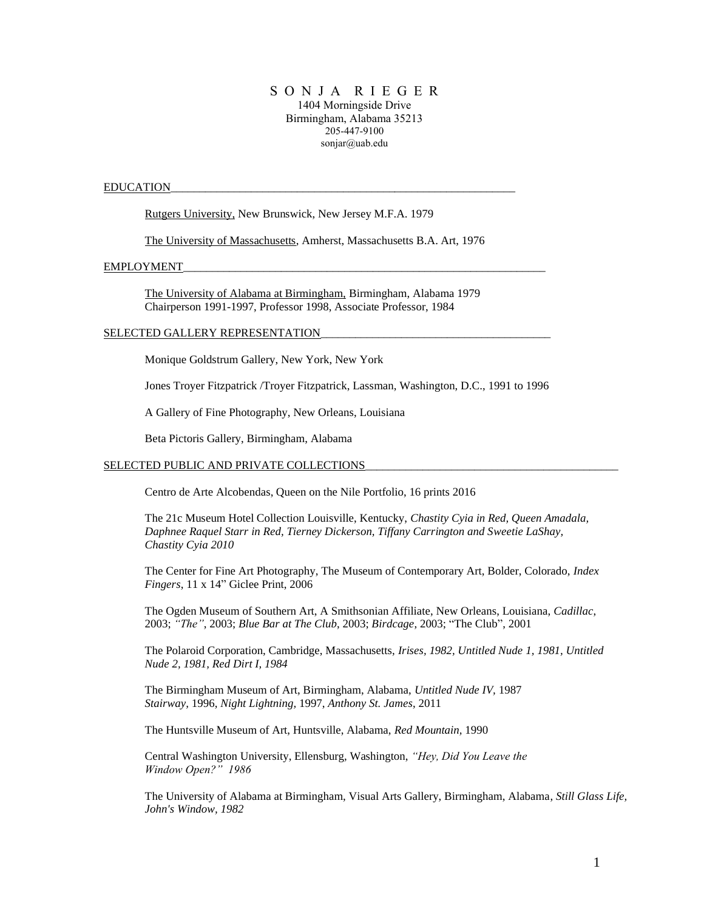## S O N J A R I E G E R 1404 Morningside Drive Birmingham, Alabama 35213 205-447-9100 sonjar@uab.edu

#### EDUCATION\_\_\_\_\_\_\_\_\_\_\_\_\_\_\_\_\_\_\_\_\_\_\_\_\_\_\_\_\_\_\_\_\_\_\_\_\_\_\_\_\_\_\_\_\_\_\_\_\_\_\_\_\_\_\_\_\_\_\_\_

Rutgers University, New Brunswick, New Jersey M.F.A. 1979

The University of Massachusetts, Amherst, Massachusetts B.A. Art, 1976

#### EMPLOYMENT

The University of Alabama at Birmingham, Birmingham, Alabama 1979 Chairperson 1991-1997, Professor 1998, Associate Professor, 1984

#### SELECTED GALLERY REPRESENTATION

Monique Goldstrum Gallery, New York, New York

Jones Troyer Fitzpatrick /Troyer Fitzpatrick, Lassman, Washington, D.C., 1991 to 1996

A Gallery of Fine Photography, New Orleans, Louisiana

Beta Pictoris Gallery, Birmingham, Alabama

### SELECTED PUBLIC AND PRIVATE COLLECTIONS

Centro de Arte Alcobendas, Queen on the Nile Portfolio, 16 prints 2016

The 21c Museum Hotel Collection Louisville, Kentucky, *Chastity Cyia in Red, Queen Amadala, Daphnee Raquel Starr in Red, Tierney Dickerson, Tiffany Carrington and Sweetie LaShay, Chastity Cyia 2010*

The Center for Fine Art Photography, The Museum of Contemporary Art, Bolder, Colorado, *Index Fingers*, 11 x 14" Giclee Print, 2006

The Ogden Museum of Southern Art, A Smithsonian Affiliate, New Orleans, Louisiana, *Cadillac*, 2003; *"The"*, 2003; *Blue Bar at The Club*, 2003; *Birdcage*, 2003; "The Club", 2001

The Polaroid Corporation, Cambridge, Massachusetts, *Irises, 1982, Untitled Nude 1, 1981, Untitled Nude 2, 1981, Red Dirt I, 1984*

The Birmingham Museum of Art, Birmingham, Alabama, *Untitled Nude IV,* 1987 *Stairway,* 1996, *Night Lightning,* 1997, *Anthony St. James*, 2011

The Huntsville Museum of Art, Huntsville, Alabama, *Red Mountain,* 1990

Central Washington University, Ellensburg, Washington, *"Hey, Did You Leave the Window Open?" 1986*

The University of Alabama at Birmingham, Visual Arts Gallery, Birmingham, Alabama, *Still Glass Life, John's Window, 1982*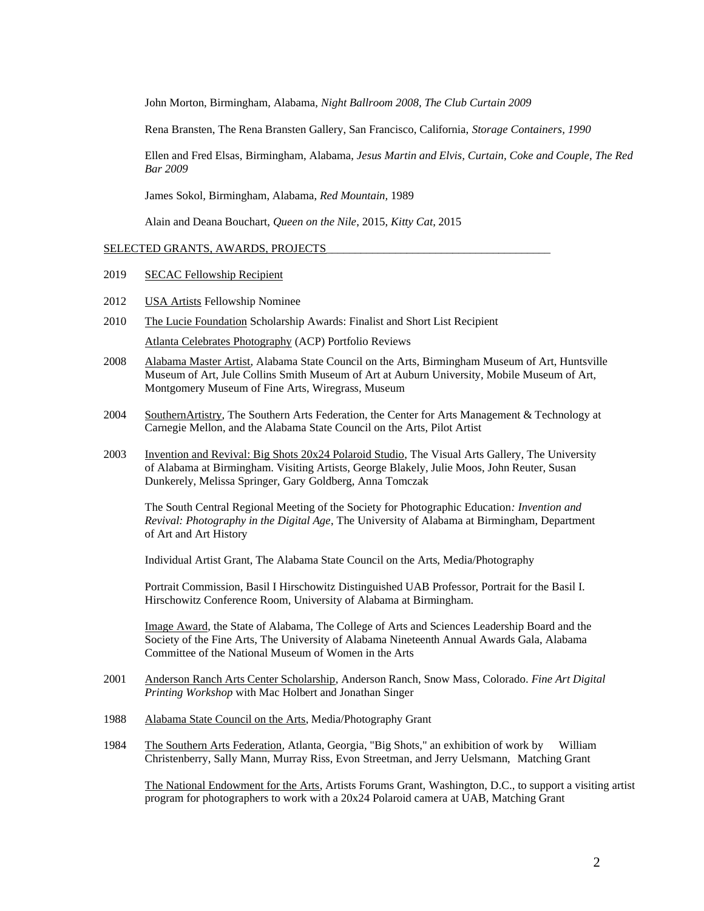John Morton, Birmingham, Alabama, *Night Ballroom 2008, The Club Curtain 2009*

Rena Bransten, The Rena Bransten Gallery, San Francisco, California, *Storage Containers, 1990*

Ellen and Fred Elsas, Birmingham, Alabama, *Jesus Martin and Elvis, Curtain, Coke and Couple, The Red Bar 2009* 

James Sokol*,* Birmingham, Alabama, *Red Mountain,* 1989

Alain and Deana Bouchart, *Queen on the Nile*, 2015, *Kitty Cat*, 2015

## SELECTED GRANTS, AWARDS, PROJECTS

- 2019 SECAC Fellowship Recipient
- 2012 USA Artists Fellowship Nominee
- 2010 The Lucie Foundation Scholarship Awards: Finalist and Short List Recipient Atlanta Celebrates Photography (ACP) Portfolio Reviews
- 2008 Alabama Master Artist, Alabama State Council on the Arts, Birmingham Museum of Art, Huntsville Museum of Art, Jule Collins Smith Museum of Art at Auburn University, Mobile Museum of Art, Montgomery Museum of Fine Arts, Wiregrass, Museum
- 2004 SouthernArtistry, The Southern Arts Federation, the [Center for Arts Management & Technology at](http://www.artsnet.org/camt)  [Carnegie Mellon,](http://www.artsnet.org/camt) and the Alabama State Council on the Arts, Pilot Artist
- 2003 Invention and Revival: Big Shots 20x24 Polaroid Studio, The Visual Arts Gallery, The University of Alabama at Birmingham. Visiting Artists, George Blakely, Julie Moos, John Reuter, Susan Dunkerely, Melissa Springer, Gary Goldberg, Anna Tomczak

The South Central Regional Meeting of the Society for Photographic Education*: Invention and Revival: Photography in the Digital Age*, The University of Alabama at Birmingham, Department of Art and Art History

Individual Artist Grant, The Alabama State Council on the Arts, Media/Photography

Portrait Commission, Basil I Hirschowitz Distinguished UAB Professor, Portrait for the Basil I. Hirschowitz Conference Room, University of Alabama at Birmingham.

Image Award, the State of Alabama, The College of Arts and Sciences Leadership Board and the Society of the Fine Arts, The University of Alabama Nineteenth Annual Awards Gala, Alabama Committee of the National Museum of Women in the Arts

- 2001 Anderson Ranch Arts Center Scholarship, Anderson Ranch, Snow Mass, Colorado. *Fine Art Digital Printing Workshop* with Mac Holbert and Jonathan Singer
- 1988 Alabama State Council on the Arts, Media/Photography Grant
- 1984 The Southern Arts Federation, Atlanta, Georgia, "Big Shots," an exhibition of work by William Christenberry, Sally Mann, Murray Riss, Evon Streetman, and Jerry Uelsmann, Matching Grant

The National Endowment for the Arts, Artists Forums Grant, Washington, D.C., to support a visiting artist program for photographers to work with a 20x24 Polaroid camera at UAB, Matching Grant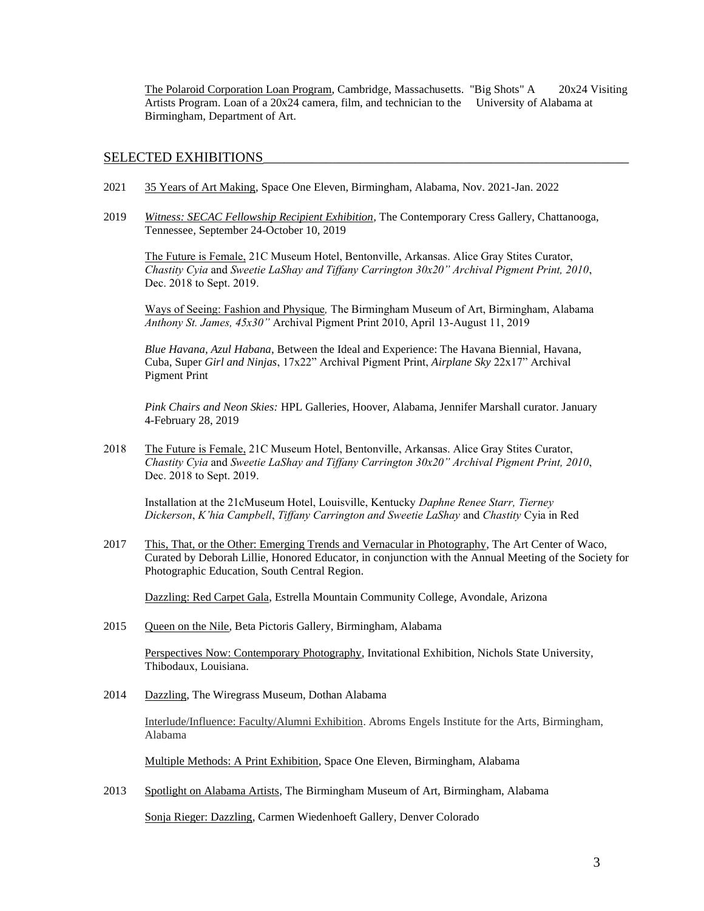The Polaroid Corporation Loan Program, Cambridge, Massachusetts. "Big Shots" A 20x24 Visiting Artists Program. Loan of a 20x24 camera, film, and technician to the University of Alabama at Birmingham, Department of Art.

## SELECTED EXHIBITIONS

- 2021 35 Years of Art Making, Space One Eleven, Birmingham, Alabama, Nov. 2021-Jan. 2022
- 2019 *Witness: SECAC Fellowship Recipient Exhibition,* The Contemporary Cress Gallery, Chattanooga, Tennessee*,* September 24-October 10, 2019

The Future is Female, 21C Museum Hotel, Bentonville, Arkansas. Alice Gray Stites Curator, *Chastity Cyia* and *Sweetie LaShay and Tiffany Carrington 30x20" Archival Pigment Print, 2010*, Dec. 2018 to Sept. 2019.

Ways of Seeing: Fashion and Physique*,* The Birmingham Museum of Art, Birmingham, Alabama *Anthony St. James, 45x30"* Archival Pigment Print 2010, April 13-August 11, 2019

*Blue Havana, Azul Habana*, Between the Ideal and Experience: The Havana Biennial, Havana, Cuba, Super *Girl and Ninjas*, 17x22" Archival Pigment Print, *Airplane Sky* 22x17" Archival Pigment Print

*Pink Chairs and Neon Skies:* HPL Galleries, Hoover, Alabama, Jennifer Marshall curator. January 4-February 28, 2019

2018 The Future is Female, 21C Museum Hotel, Bentonville, Arkansas. Alice Gray Stites Curator, *Chastity Cyia* and *Sweetie LaShay and Tiffany Carrington 30x20" Archival Pigment Print, 2010*, Dec. 2018 to Sept. 2019.

Installation at the 21cMuseum Hotel, Louisville, Kentucky *Daphne Renee Starr, Tierney Dickerson*, *K'hia Campbell*, *Tiffany Carrington and Sweetie LaShay* and *Chastity* Cyia in Red

2017 This, That, or the Other: Emerging Trends and Vernacular in Photography, The Art Center of Waco, Curated by Deborah Lillie, Honored Educator, in conjunction with the Annual Meeting of the Society for Photographic Education, South Central Region.

Dazzling: Red Carpet Gala, Estrella Mountain Community College, Avondale, Arizona

2015 Queen on the Nile, Beta Pictoris Gallery, Birmingham, Alabama

Perspectives Now: Contemporary Photography, Invitational Exhibition, Nichols State University, Thibodaux, Louisiana.

2014 Dazzling, The Wiregrass Museum, Dothan Alabama

Interlude/Influence: Faculty/Alumni Exhibition. Abroms Engels Institute for the Arts, Birmingham, Alabama

Multiple Methods: A Print Exhibition, Space One Eleven, Birmingham, Alabama

2013 Spotlight on Alabama Artists, The Birmingham Museum of Art, Birmingham, Alabama

Sonja Rieger: Dazzling, Carmen Wiedenhoeft Gallery, Denver Colorado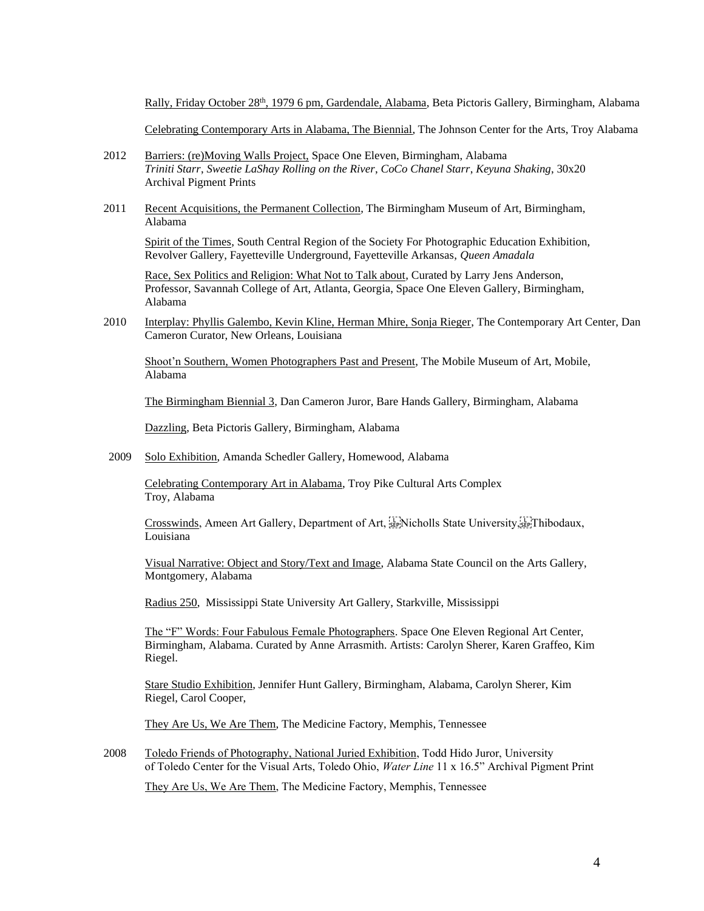Rally, Friday October 28th, 1979 6 pm, Gardendale, Alabama, Beta Pictoris Gallery, Birmingham, Alabama

Celebrating Contemporary Arts in Alabama, The Biennial, The Johnson Center for the Arts, Troy Alabama

- 2012 Barriers: (re)Moving Walls Project, Space One Eleven, Birmingham, Alabama *Triniti Starr*, *Sweetie LaShay Rolling on the River*, *CoCo Chanel Starr*, *Keyuna Shaking*, 30x20 Archival Pigment Prints
- 2011 Recent Acquisitions, the Permanent Collection, The Birmingham Museum of Art, Birmingham, Alabama

Spirit of the Times, South Central Region of the Society For Photographic Education Exhibition, Revolver Gallery, Fayetteville Underground, Fayetteville Arkansas, *Queen Amadala*

Race, Sex Politics and Religion: What Not to Talk about, Curated by Larry Jens Anderson, Professor, Savannah College of Art, Atlanta, Georgia, Space One Eleven Gallery, Birmingham, Alabama

2010 Interplay: Phyllis Galembo, Kevin Kline, Herman Mhire, Sonja Rieger, The Contemporary Art Center, Dan Cameron Curator, New Orleans, Louisiana

Shoot'n Southern, Women Photographers Past and Present, The Mobile Museum of Art, Mobile, Alabama

The Birmingham Biennial 3, Dan Cameron Juror, Bare Hands Gallery, Birmingham, Alabama

Dazzling, Beta Pictoris Gallery, Birmingham, Alabama

2009 Solo Exhibition, Amanda Schedler Gallery, Homewood, Alabama

Celebrating Contemporary Art in Alabama, Troy Pike Cultural Arts Complex Troy, Alabama

Crosswinds, Ameen Art Gallery, Department of Art, Fridition State University, Fribodaux, Louisiana

Visual Narrative: Object and Story/Text and Image, Alabama State Council on the Arts Gallery, Montgomery, Alabama

Radius 250, Mississippi State University Art Gallery, Starkville, Mississippi

The "F" Words: Four Fabulous Female Photographers. Space One Eleven Regional Art Center, Birmingham, Alabama. Curated by Anne Arrasmith. Artists: Carolyn Sherer, Karen Graffeo, Kim Riegel.

Stare Studio Exhibition, Jennifer Hunt Gallery, Birmingham, Alabama, Carolyn Sherer, Kim Riegel, Carol Cooper,

They Are Us, We Are Them, The Medicine Factory, Memphis, Tennessee

2008 Toledo Friends of Photography, National Juried Exhibition, Todd Hido Juror, University of Toledo Center for the Visual Arts, Toledo Ohio, *Water Line* 11 x 16.5" Archival Pigment Print

They Are Us, We Are Them, The Medicine Factory, Memphis, Tennessee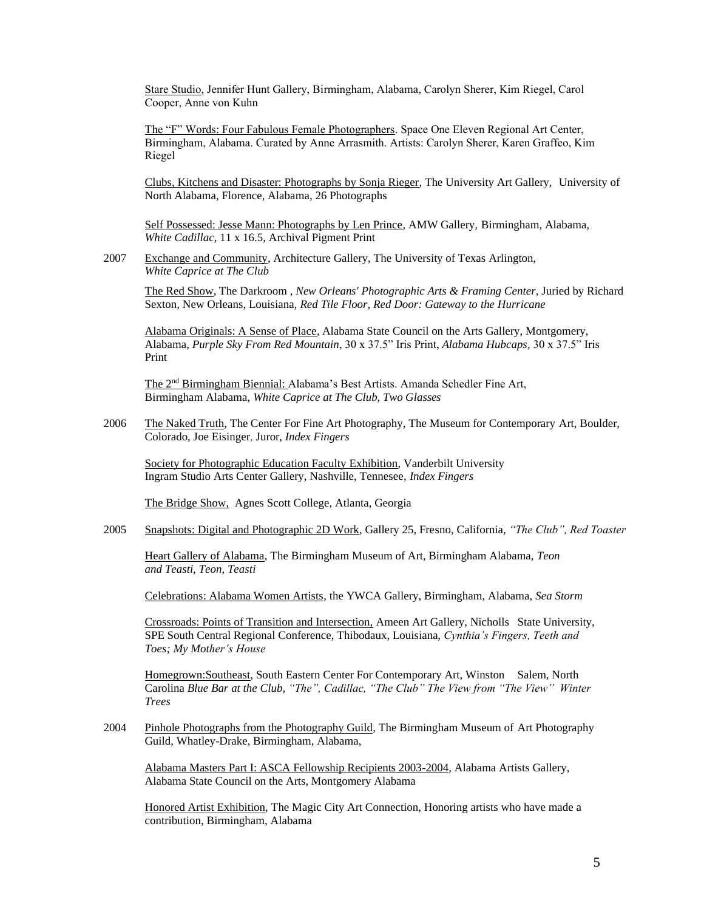Stare Studio, Jennifer Hunt Gallery, Birmingham, Alabama, Carolyn Sherer, Kim Riegel, Carol Cooper, Anne von Kuhn

The "F" Words: Four Fabulous Female Photographers. Space One Eleven Regional Art Center, Birmingham, Alabama. Curated by Anne Arrasmith. Artists: Carolyn Sherer, Karen Graffeo, Kim Riegel

Clubs, Kitchens and Disaster: Photographs by Sonja Rieger, The University Art Gallery, University of North Alabama, Florence, Alabama, 26 Photographs

Self Possessed: Jesse Mann: Photographs by Len Prince, AMW Gallery, Birmingham, Alabama, *White Cadillac*, 11 x 16.5, Archival Pigment Print

2007 Exchange and Community, Architecture Gallery, The University of Texas Arlington, *White Caprice at The Club* 

The Red Show, The Darkroom , *New Orleans' Photographic Arts & Framing Center,* Juried by Richard Sexton*,* New Orleans, Louisiana, *Red Tile Floor, Red Door: Gateway to the Hurricane*

Alabama Originals: A Sense of Place, Alabama State Council on the Arts Gallery, Montgomery, Alabama, *Purple Sky From Red Mountain*, 30 x 37.5" Iris Print, *Alabama Hubcaps,* 30 x 37.5" Iris Print

The 2nd Birmingham Biennial: Alabama's Best Artists. Amanda Schedler Fine Art, Birmingham Alabama, *White Caprice at The Club, Two Glasses*

2006 The Naked Truth, The Center For Fine Art Photography, The Museum for Contemporary Art, Boulder, Colorado, Joe Eisinger, Juror, *Index Fingers*

Society for Photographic Education Faculty Exhibition, Vanderbilt University Ingram Studio Arts Center Gallery, Nashville, Tennesee, *Index Fingers*

The Bridge Show, Agnes Scott College, Atlanta, Georgia

2005 Snapshots: Digital and Photographic 2D Work, Gallery 25, Fresno, California, *"The Club", Red Toaster*

Heart Gallery of Alabama, The Birmingham Museum of Art, Birmingham Alabama, *Teon and Teasti, Teon, Teasti*

Celebrations: Alabama Women Artists, the YWCA Gallery, Birmingham, Alabama, *Sea Storm*

Crossroads: Points of Transition and Intersection, Ameen Art Gallery, Nicholls State University, SPE South Central Regional Conference, Thibodaux, Louisiana, *Cynthia's Fingers, Teeth and Toes; My Mother's House*

Homegrown:Southeast, South Eastern Center For Contemporary Art, Winston Salem, North Carolina *Blue Bar at the Club, "The", Cadillac, "The Club" The View from "The View" Winter Trees*

2004 Pinhole Photographs from the Photography Guild, The Birmingham Museum of Art Photography Guild, Whatley-Drake, Birmingham, Alabama,

Alabama Masters Part I: ASCA Fellowship Recipients 2003-2004, Alabama Artists Gallery, Alabama State Council on the Arts, Montgomery Alabama

Honored Artist Exhibition, The Magic City Art Connection, Honoring artists who have made a contribution, Birmingham, Alabama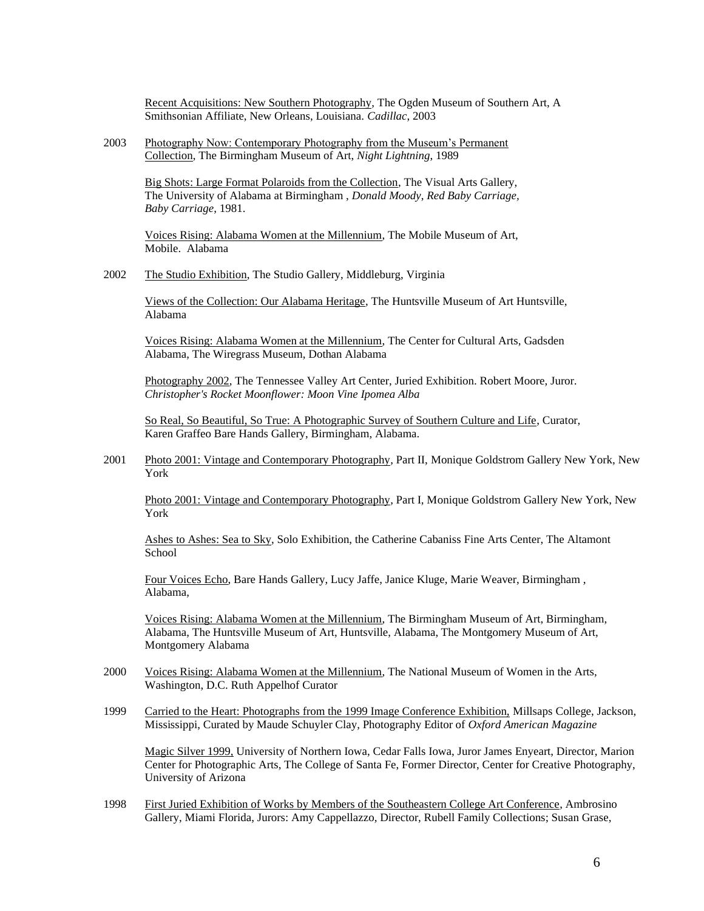Recent Acquisitions: New Southern Photography, The Ogden Museum of Southern Art, A Smithsonian Affiliate, New Orleans, Louisiana. *Cadillac*, 2003

2003 Photography Now: Contemporary Photography from the Museum's Permanent Collection, The Birmingham Museum of Art, *Night Lightning*, 1989

> Big Shots: Large Format Polaroids from the Collection, The Visual Arts Gallery, The University of Alabama at Birmingham , *Donald Moody*, *Red Baby Carriage, Baby Carriage*, 1981.

> Voices Rising: Alabama Women at the Millennium, The Mobile Museum of Art, Mobile. Alabama

2002 The Studio Exhibition, The Studio Gallery, Middleburg, Virginia

Views of the Collection: Our Alabama Heritage, The Huntsville Museum of Art Huntsville, Alabama

Voices Rising: Alabama Women at the Millennium, The Center for Cultural Arts, Gadsden Alabama, The Wiregrass Museum, Dothan Alabama

Photography 2002, The Tennessee Valley Art Center, Juried Exhibition. Robert Moore, Juror*. Christopher's Rocket Moonflower: Moon Vine Ipomea Alba*

So Real, So Beautiful, So True: A Photographic Survey of Southern Culture and Life, Curator, Karen Graffeo Bare Hands Gallery, Birmingham, Alabama.

2001 Photo 2001: Vintage and Contemporary Photography, Part II, Monique Goldstrom Gallery New York, New York

Photo 2001: Vintage and Contemporary Photography, Part I, Monique Goldstrom Gallery New York, New York

Ashes to Ashes: Sea to Sky, Solo Exhibition, the Catherine Cabaniss Fine Arts Center, The Altamont School

Four Voices Echo, Bare Hands Gallery, Lucy Jaffe, Janice Kluge, Marie Weaver, Birmingham , Alabama,

Voices Rising: Alabama Women at the Millennium, The Birmingham Museum of Art, Birmingham, Alabama, The Huntsville Museum of Art, Huntsville, Alabama, The Montgomery Museum of Art, Montgomery Alabama

- 2000 Voices Rising: Alabama Women at the Millennium, The National Museum of Women in the Arts, Washington, D.C. Ruth Appelhof Curator
- 1999 Carried to the Heart: Photographs from the 1999 Image Conference Exhibition, Millsaps College, Jackson, Mississippi, Curated by Maude Schuyler Clay, Photography Editor of *Oxford American Magazine*

Magic Silver 1999, University of Northern Iowa, Cedar Falls Iowa, Juror James Enyeart, Director, Marion Center for Photographic Arts, The College of Santa Fe, Former Director, Center for Creative Photography, University of Arizona

1998 First Juried Exhibition of Works by Members of the Southeastern College Art Conference, Ambrosino Gallery, Miami Florida, Jurors: Amy Cappellazzo, Director, Rubell Family Collections; Susan Grase,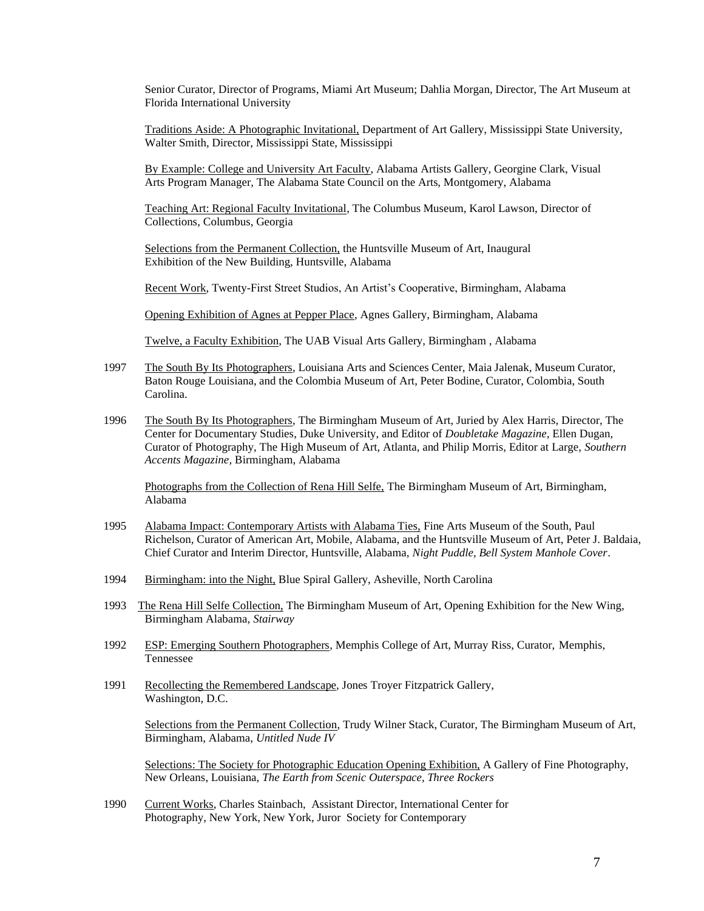Senior Curator, Director of Programs, Miami Art Museum; Dahlia Morgan, Director, The Art Museum at Florida International University

Traditions Aside: A Photographic Invitational, Department of Art Gallery, Mississippi State University, Walter Smith, Director, Mississippi State, Mississippi

By Example: College and University Art Faculty, Alabama Artists Gallery, Georgine Clark, Visual Arts Program Manager, The Alabama State Council on the Arts, Montgomery, Alabama

Teaching Art: Regional Faculty Invitational, The Columbus Museum, Karol Lawson, Director of Collections, Columbus, Georgia

Selections from the Permanent Collection, the Huntsville Museum of Art, Inaugural Exhibition of the New Building, Huntsville, Alabama

Recent Work, Twenty-First Street Studios, An Artist's Cooperative, Birmingham, Alabama

Opening Exhibition of Agnes at Pepper Place, Agnes Gallery, Birmingham, Alabama

Twelve, a Faculty Exhibition, The UAB Visual Arts Gallery, Birmingham , Alabama

- 1997 The South By Its Photographers, Louisiana Arts and Sciences Center, Maia Jalenak, Museum Curator, Baton Rouge Louisiana, and the Colombia Museum of Art, Peter Bodine, Curator, Colombia, South Carolina.
- 1996 The South By Its Photographers, The Birmingham Museum of Art, Juried by Alex Harris, Director, The Center for Documentary Studies, Duke University, and Editor of *Doubletake Magazine*, Ellen Dugan, Curator of Photography, The High Museum of Art, Atlanta, and Philip Morris, Editor at Large, *Southern Accents Magazine*, Birmingham, Alabama

Photographs from the Collection of Rena Hill Selfe, The Birmingham Museum of Art, Birmingham, Alabama

- 1995 Alabama Impact: Contemporary Artists with Alabama Ties, Fine Arts Museum of the South, Paul Richelson, Curator of American Art, Mobile, Alabama, and the Huntsville Museum of Art, Peter J. Baldaia, Chief Curator and Interim Director, Huntsville, Alabama, *Night Puddle, Bell System Manhole Cover*.
- 1994 Birmingham: into the Night, Blue Spiral Gallery, Asheville, North Carolina
- 1993 The Rena Hill Selfe Collection, The Birmingham Museum of Art, Opening Exhibition for the New Wing, Birmingham Alabama, *Stairway*
- 1992 ESP: Emerging Southern Photographers, Memphis College of Art, Murray Riss, Curator, Memphis, Tennessee
- 1991 Recollecting the Remembered Landscape, Jones Troyer Fitzpatrick Gallery, Washington, D.C.

Selections from the Permanent Collection, Trudy Wilner Stack, Curator, The Birmingham Museum of Art, Birmingham, Alabama, *Untitled Nude IV*

Selections: The Society for Photographic Education Opening Exhibition, A Gallery of Fine Photography, New Orleans, Louisiana, *The Earth from Scenic Outerspace, Three Rockers*

1990 Current Works, Charles Stainbach, Assistant Director, International Center for Photography, New York, New York, Juror Society for Contemporary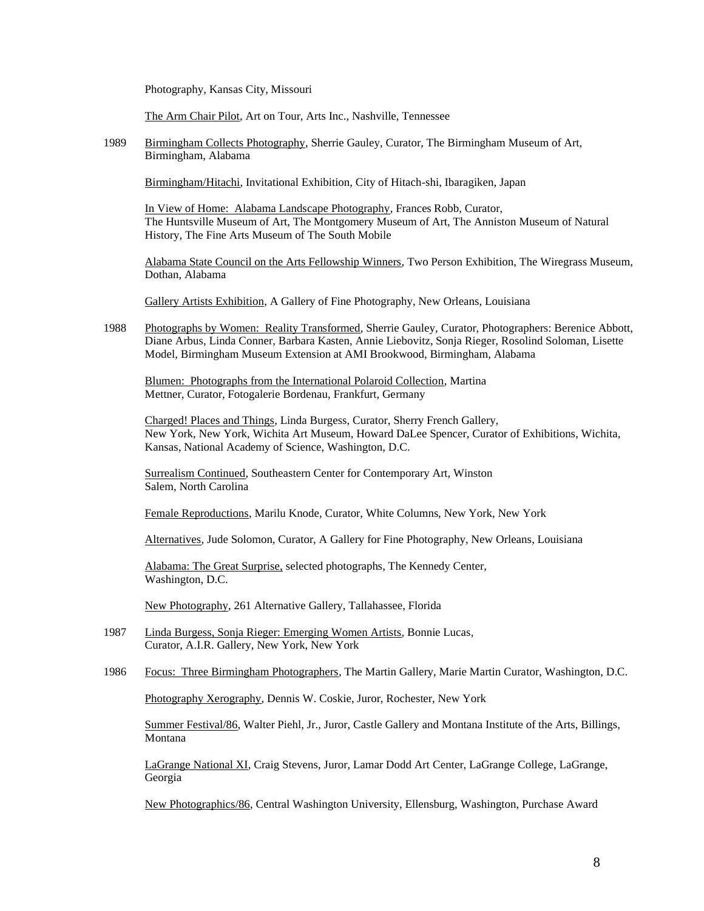Photography, Kansas City, Missouri

The Arm Chair Pilot, Art on Tour, Arts Inc., Nashville, Tennessee

1989 Birmingham Collects Photography, Sherrie Gauley, Curator, The Birmingham Museum of Art, Birmingham, Alabama

Birmingham/Hitachi, Invitational Exhibition, City of Hitach-shi, Ibaragiken, Japan

In View of Home: Alabama Landscape Photography, Frances Robb, Curator, The Huntsville Museum of Art, The Montgomery Museum of Art, The Anniston Museum of Natural History, The Fine Arts Museum of The South Mobile

Alabama State Council on the Arts Fellowship Winners, Two Person Exhibition, The Wiregrass Museum, Dothan, Alabama

Gallery Artists Exhibition, A Gallery of Fine Photography, New Orleans, Louisiana

1988 Photographs by Women: Reality Transformed, Sherrie Gauley, Curator, Photographers: Berenice Abbott, Diane Arbus, Linda Conner, Barbara Kasten, Annie Liebovitz, Sonja Rieger, Rosolind Soloman, Lisette Model, Birmingham Museum Extension at AMI Brookwood, Birmingham, Alabama

Blumen: Photographs from the International Polaroid Collection, Martina Mettner, Curator, Fotogalerie Bordenau, Frankfurt, Germany

Charged! Places and Things, Linda Burgess, Curator, Sherry French Gallery, New York, New York, Wichita Art Museum, Howard DaLee Spencer, Curator of Exhibitions, Wichita, Kansas, National Academy of Science, Washington, D.C.

Surrealism Continued, Southeastern Center for Contemporary Art, Winston Salem, North Carolina

Female Reproductions, Marilu Knode, Curator, White Columns, New York, New York

Alternatives, Jude Solomon, Curator, A Gallery for Fine Photography, New Orleans, Louisiana

Alabama: The Great Surprise, selected photographs, The Kennedy Center, Washington, D.C.

New Photography, 261 Alternative Gallery, Tallahassee, Florida

- 1987 Linda Burgess, Sonja Rieger: Emerging Women Artists, Bonnie Lucas, Curator, A.I.R. Gallery, New York, New York
- 1986 Focus: Three Birmingham Photographers, The Martin Gallery, Marie Martin Curator, Washington, D.C.

Photography Xerography, Dennis W. Coskie, Juror, Rochester, New York

Summer Festival/86, Walter Piehl, Jr., Juror, Castle Gallery and Montana Institute of the Arts, Billings, Montana

LaGrange National XI, Craig Stevens, Juror, Lamar Dodd Art Center, LaGrange College, LaGrange, Georgia

New Photographics/86, Central Washington University, Ellensburg, Washington, Purchase Award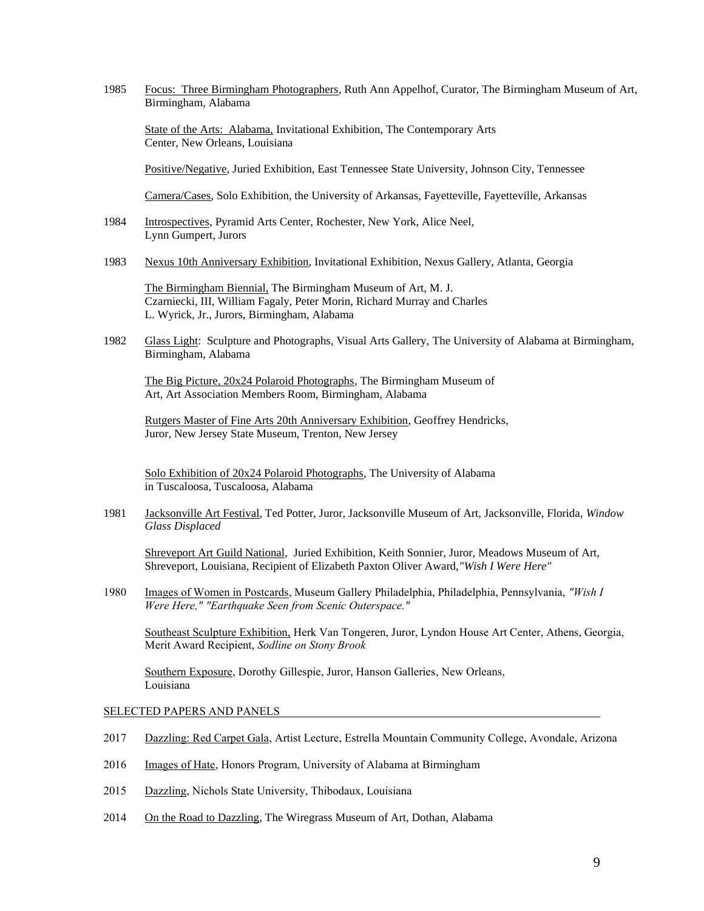1985 Focus: Three Birmingham Photographers, Ruth Ann Appelhof, Curator, The Birmingham Museum of Art, Birmingham, Alabama

State of the Arts: Alabama, Invitational Exhibition, The Contemporary Arts Center, New Orleans, Louisiana

Positive/Negative, Juried Exhibition, East Tennessee State University, Johnson City, Tennessee

Camera/Cases, Solo Exhibition, the University of Arkansas, Fayetteville, Fayetteville, Arkansas

- 1984 Introspectives, Pyramid Arts Center, Rochester, New York, Alice Neel, Lynn Gumpert, Jurors
- 1983 Nexus 10th Anniversary Exhibition, Invitational Exhibition, Nexus Gallery, Atlanta, Georgia

The Birmingham Biennial, The Birmingham Museum of Art, M. J. Czarniecki, III, William Fagaly, Peter Morin, Richard Murray and Charles L. Wyrick, Jr., Jurors, Birmingham, Alabama

1982 Glass Light: Sculpture and Photographs, Visual Arts Gallery, The University of Alabama at Birmingham, Birmingham, Alabama

The Big Picture, 20x24 Polaroid Photographs, The Birmingham Museum of Art, Art Association Members Room, Birmingham, Alabama

Rutgers Master of Fine Arts 20th Anniversary Exhibition, Geoffrey Hendricks, Juror, New Jersey State Museum, Trenton, New Jersey

Solo Exhibition of 20x24 Polaroid Photographs, The University of Alabama in Tuscaloosa, Tuscaloosa, Alabama

1981 Jacksonville Art Festival, Ted Potter, Juror, Jacksonville Museum of Art, Jacksonville, Florida, *Window Glass Displaced*

Shreveport Art Guild National, Juried Exhibition, Keith Sonnier, Juror, Meadows Museum of Art, Shreveport, Louisiana, Recipient of Elizabeth Paxton Oliver Award,*"Wish I Were Here"*

1980 Images of Women in Postcards, Museum Gallery Philadelphia, Philadelphia, Pennsylvania, *"Wish I Were Here," "Earthquake Seen from Scenic Outerspace."* 

Southeast Sculpture Exhibition, Herk Van Tongeren, Juror, Lyndon House Art Center, Athens, Georgia, Merit Award Recipient, *Sodline on Stony Brook*

Southern Exposure, Dorothy Gillespie, Juror, Hanson Galleries, New Orleans, Louisiana

### SELECTED PAPERS AND PANELS

- 2017 Dazzling: Red Carpet Gala, Artist Lecture, Estrella Mountain Community College, Avondale, Arizona
- 2016 Images of Hate, Honors Program, University of Alabama at Birmingham
- 2015 Dazzling, Nichols State University, Thibodaux, Louisiana
- 2014 On the Road to Dazzling, The Wiregrass Museum of Art, Dothan, Alabama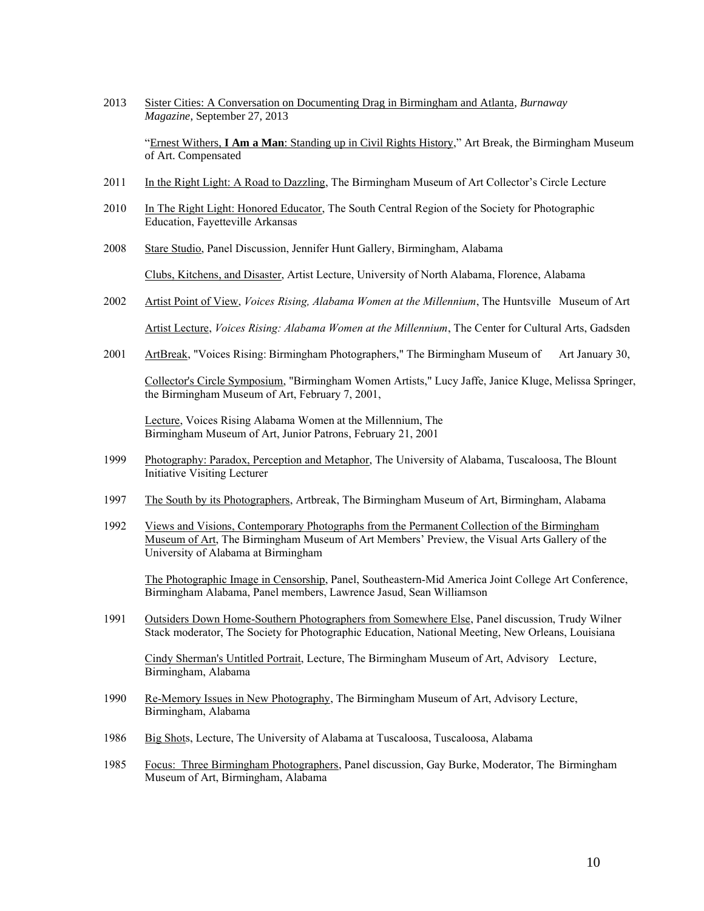2013 Sister Cities: A Conversation on Documenting Drag in Birmingham and Atlanta, *Burnaway Magazine*, September 27, 2013

"Ernest Withers, **I Am a Man**: Standing up in Civil Rights History," Art Break, the Birmingham Museum of Art. Compensated

- 2011 In the Right Light: A Road to Dazzling, The Birmingham Museum of Art Collector's Circle Lecture
- 2010 In The Right Light: Honored Educator, The South Central Region of the Society for Photographic Education, Fayetteville Arkansas
- 2008 Stare Studio, Panel Discussion, Jennifer Hunt Gallery, Birmingham, Alabama

Clubs, Kitchens, and Disaster, Artist Lecture, University of North Alabama, Florence, Alabama

- 2002 Artist Point of View, *Voices Rising, Alabama Women at the Millennium*, The Huntsville Museum of Art Artist Lecture, *Voices Rising: Alabama Women at the Millennium*, The Center for Cultural Arts, Gadsden
- 2001 ArtBreak, "Voices Rising: Birmingham Photographers," The Birmingham Museum of Art January 30,

Collector's Circle Symposium, "Birmingham Women Artists," Lucy Jaffe, Janice Kluge, Melissa Springer, the Birmingham Museum of Art, February 7, 2001,

Lecture, Voices Rising Alabama Women at the Millennium, The Birmingham Museum of Art, Junior Patrons, February 21, 2001

- 1999 Photography: Paradox, Perception and Metaphor, The University of Alabama, Tuscaloosa, The Blount Initiative Visiting Lecturer
- 1997 The South by its Photographers, Artbreak, The Birmingham Museum of Art, Birmingham, Alabama
- 1992 Views and Visions, Contemporary Photographs from the Permanent Collection of the Birmingham Museum of Art, The Birmingham Museum of Art Members' Preview, the Visual Arts Gallery of the University of Alabama at Birmingham

The Photographic Image in Censorship, Panel, Southeastern-Mid America Joint College Art Conference, Birmingham Alabama, Panel members, Lawrence Jasud, Sean Williamson

1991 Outsiders Down Home-Southern Photographers from Somewhere Else, Panel discussion, Trudy Wilner Stack moderator, The Society for Photographic Education, National Meeting, New Orleans, Louisiana

Cindy Sherman's Untitled Portrait, Lecture, The Birmingham Museum of Art, Advisory Lecture, Birmingham, Alabama

- 1990 Re-Memory Issues in New Photography, The Birmingham Museum of Art, Advisory Lecture, Birmingham, Alabama
- 1986 Big Shots, Lecture, The University of Alabama at Tuscaloosa, Tuscaloosa, Alabama
- 1985 Focus: Three Birmingham Photographers, Panel discussion, Gay Burke, Moderator, The Birmingham Museum of Art, Birmingham, Alabama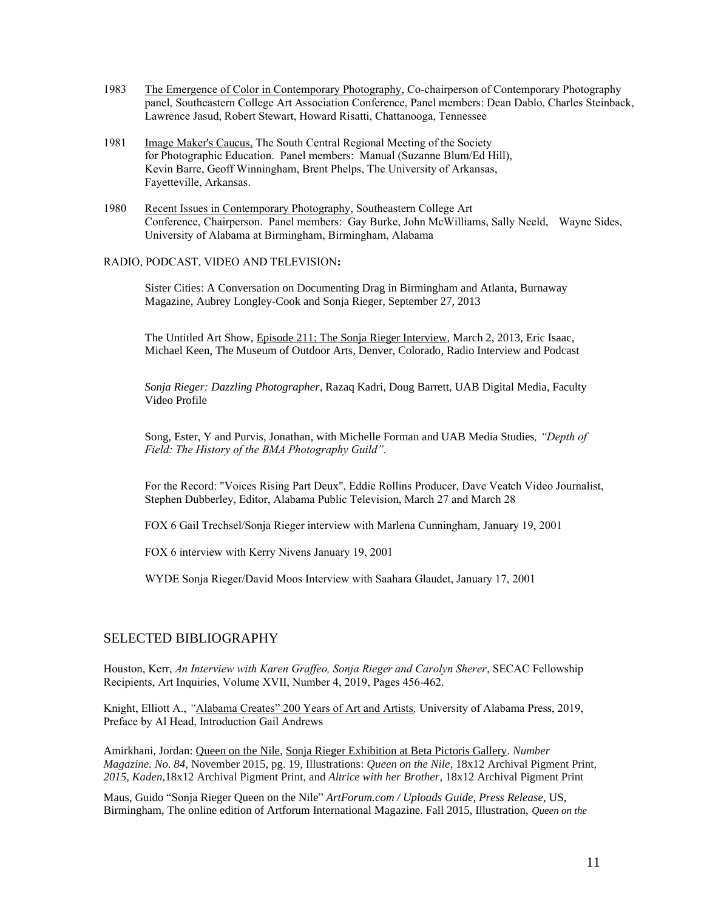- 1983 The Emergence of Color in Contemporary Photography, Co-chairperson of Contemporary Photography panel, Southeastern College Art Association Conference, Panel members: Dean Dablo, Charles Steinback, Lawrence Jasud, Robert Stewart, Howard Risatti, Chattanooga, Tennessee
- 1981 Image Maker's Caucus, The South Central Regional Meeting of the Society for Photographic Education. Panel members: Manual (Suzanne Blum/Ed Hill), Kevin Barre, Geoff Winningham, Brent Phelps, The University of Arkansas, Fayetteville, Arkansas.
- 1980 Recent Issues in Contemporary Photography, Southeastern College Art Conference, Chairperson. Panel members: Gay Burke, John McWilliams, Sally Neeld, Wayne Sides, University of Alabama at Birmingham, Birmingham, Alabama

## RADIO, PODCAST, VIDEO AND TELEVISION**:**

Sister Cities: A Conversation on Documenting Drag in Birmingham and Atlanta, Burnaway Magazine, [Aubrey Longley-Cook and Sonja Rieger,](http://burnaway.org/author/aubrey-longley-cook-and-sonja-rieger/) September 27, 2013

The Untitled Art Show, Episode 211: The Sonja Rieger Interview, March 2, 2013, Eric Isaac, Michael Keen, The Museum of Outdoor Arts, Denver, Colorado, Radio Interview and Podcast

*Sonja Rieger: Dazzling Photographer*, Razaq Kadri, Doug Barrett, UAB Digital Media, Faculty Video Profile

Song, Ester, Y and Purvis, Jonathan*,* with Michelle Forman and UAB Media Studies*, "Depth of Field: The History of the BMA Photography Guild".*

For the Record: "Voices Rising Part Deux", Eddie Rollins Producer, Dave Veatch Video Journalist, Stephen Dubberley, Editor, Alabama Public Television, March 27 and March 28

FOX 6 Gail Trechsel/Sonja Rieger interview with Marlena Cunningham, January 19, 2001

FOX 6 interview with Kerry Nivens January 19, 2001

WYDE Sonja Rieger/David Moos Interview with Saahara Glaudet, January 17, 2001

# SELECTED BIBLIOGRAPHY

Houston, Kerr, *An Interview with Karen Graffeo, Sonja Rieger and Carolyn Sherer*, SECAC Fellowship Recipients, Art Inquiries, Volume XVII, Number 4, 2019, Pages 456-462.

Knight, Elliott A., *"*Alabama Creates" 200 Years of Art and Artists*,* University of Alabama Press, 2019, Preface by Al Head, Introduction Gail Andrews

Amirkhani, Jordan: Queen on the Nile, Sonja Rieger Exhibition at Beta Pictoris Gallery. *Number Magazine. No. 84*, November 2015, pg. 19, Illustrations: *Queen on the Nile*, 18x12 Archival Pigment Print, *2015, Kaden,*18x12 Archival Pigment Print, and *Altrice with her Brother,* 18x12 Archival Pigment Print

Maus, Guido "Sonja Rieger Queen on the Nile" *ArtForum.com / Uploads Guide, Press Release,* US, Birmingham, The online edition of Artforum International Magazine. Fall 2015, Illustration, *Queen on the*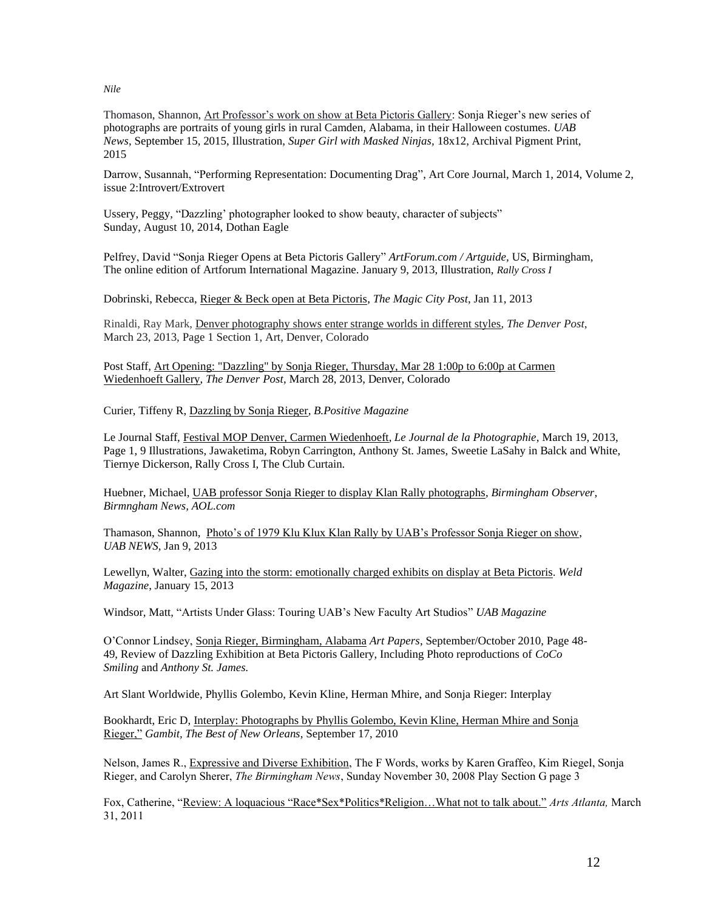*Nile*

Thomason, Shannon, Art Professor's work on show at Beta Pictoris Gallery: Sonja Rieger's new series of photographs are portraits of young girls in rural Camden, Alabama, in their Halloween costumes. *UAB News*, September 15, 2015, Illustration, *Super Girl with Masked Ninjas,* 18x12, Archival Pigment Print, 2015

Darrow, Susannah, "Performing Representation: Documenting Drag", Art Core Journal, March 1, 2014, Volume 2, issue 2:Introvert/Extrovert

Ussery, Peggy, "Dazzling' photographer looked to show beauty, character of subjects" Sunday, August 10, 2014, Dothan Eagle

Pelfrey, David "Sonja Rieger Opens at Beta Pictoris Gallery" *ArtForum.com / Artguide,* US, Birmingham, The online edition of Artforum International Magazine. January 9, 2013, Illustration, *Rally Cross I*

Dobrinski, Rebecca, Rieger & Beck open at Beta Pictoris, *The Magic City Post*, Jan 11, 2013

Rinaldi, Ray Mark, Denver photography shows enter strange worlds in different styles, *The Denver Post*, March 23, 2013, Page 1 Section 1, Art, Denver, Colorado

Post Staff, Art Opening: "Dazzling" by Sonja Rieger, Thursday, Mar 28 1:00p to 6:00p at Carmen Wiedenhoeft Gallery, *The Denver Post*, March 28, 2013, Denver, Colorado

Curier, Tiffeny R, Dazzling by Sonja Rieger*, B.Positive Magazine*

Le Journal Staff, Festival MOP Denver, Carmen Wiedenhoeft, *Le Journal de la Photographie*, March 19, 2013, Page 1, 9 Illustrations, Jawaketima, Robyn Carrington, Anthony St. James, Sweetie LaSahy in Balck and White, Tiernye Dickerson, Rally Cross I, The Club Curtain.

Huebner, Michael, UAB professor Sonja Rieger to display Klan Rally photographs, *Birmingham Observer, Birmngham News, AOL.com*

Thamason, Shannon, Photo's of 1979 Klu Klux Klan Rally by UAB's Professor Sonja Rieger on show, *UAB NEWS*, Jan 9, 2013

Lewellyn, Walter, Gazing into the storm: emotionally charged exhibits on display at Beta Pictoris. *Weld Magazine*, January 15, 2013

Windsor, Matt, "Artists Under Glass: Touring UAB's New Faculty Art Studios" *UAB Magazine*

O'Connor Lindsey, Sonja Rieger, Birmingham, Alabama *Art Papers*, September/October 2010, Page 48- 49, Review of Dazzling Exhibition at Beta Pictoris Gallery, Including Photo reproductions of *CoCo Smiling* and *Anthony St. James.*

Art Slant Worldwide, Phyllis Golembo, Kevin Kline, Herman Mhire, and Sonja Rieger: Interplay

Bookhardt, Eric D, Interplay: Photographs by Phyllis Golembo, Kevin Kline, Herman Mhire and Sonja Rieger," *Gambit, The Best of New Orleans*, September 17, 2010

Nelson, James R., Expressive and Diverse Exhibition, The F Words, works by Karen Graffeo, Kim Riegel, Sonja Rieger, and Carolyn Sherer, *The Birmingham News*, Sunday November 30, 2008 Play Section G page 3

Fox, Catherine, "Review: A loquacious "Race\*Sex\*Politics\*Religion…What not to talk about." *Arts Atlanta,* March 31, 2011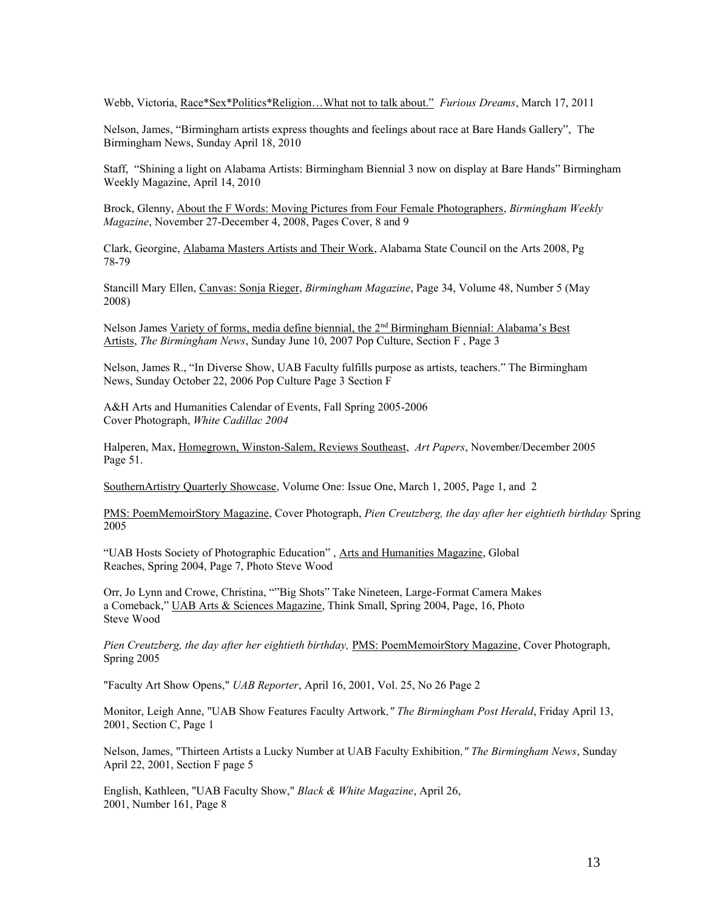Webb, Victoria, Race\*Sex\*Politics\*Religion…What not to talk about." *Furious Dreams*, March 17, 2011

Nelson, James, "Birmingham artists express thoughts and feelings about race at Bare Hands Gallery", The Birmingham News, Sunday April 18, 2010

Staff, "Shining a light on Alabama Artists: Birmingham Biennial 3 now on display at Bare Hands" Birmingham Weekly Magazine, April 14, 2010

Brock, Glenny, About the F Words: Moving Pictures from Four Female Photographers, *Birmingham Weekly Magazine*, November 27-December 4, 2008, Pages Cover, 8 and 9

Clark, Georgine, Alabama Masters Artists and Their Work, Alabama State Council on the Arts 2008, Pg 78-79

Stancill Mary Ellen, Canvas: Sonja Rieger, *Birmingham Magazine*, Page 34, Volume 48, Number 5 (May 2008)

Nelson James Variety of forms, media define biennial, the 2nd Birmingham Biennial: Alabama's Best Artists, *The Birmingham News*, Sunday June 10, 2007 Pop Culture, Section F , Page 3

Nelson, James R., "In Diverse Show, UAB Faculty fulfills purpose as artists, teachers." The Birmingham News, Sunday October 22, 2006 Pop Culture Page 3 Section F

A&H Arts and Humanities Calendar of Events, Fall Spring 2005-2006 Cover Photograph, *White Cadillac 2004*

Halperen, Max, Homegrown, Winston-Salem, Reviews Southeast, *Art Papers*, November/December 2005 Page 51.

SouthernArtistry Quarterly Showcase, Volume One: Issue One, March 1, 2005, Page 1, and 2

PMS: PoemMemoirStory Magazine, Cover Photograph, *Pien Creutzberg, the day after her eightieth birthday* Spring 2005

"UAB Hosts Society of Photographic Education" , Arts and Humanities Magazine, Global Reaches, Spring 2004, Page 7, Photo Steve Wood

Orr, Jo Lynn and Crowe, Christina, ""Big Shots" Take Nineteen, Large-Format Camera Makes a Comeback," UAB Arts & Sciences Magazine, Think Small, Spring 2004, Page, 16, Photo Steve Wood

Pien Creutzberg, the day after her eightieth birthday, PMS: PoemMemoirStory Magazine, Cover Photograph, Spring 2005

"Faculty Art Show Opens," *UAB Reporter*, April 16, 2001, Vol. 25, No 26 Page 2

Monitor, Leigh Anne, "UAB Show Features Faculty Artwork*," The Birmingham Post Herald*, Friday April 13, 2001, Section C, Page 1

Nelson, James, "Thirteen Artists a Lucky Number at UAB Faculty Exhibition*," The Birmingham News*, Sunday April 22, 2001, Section F page 5

English, Kathleen, "UAB Faculty Show," *Black & White Magazine*, April 26, 2001, Number 161, Page 8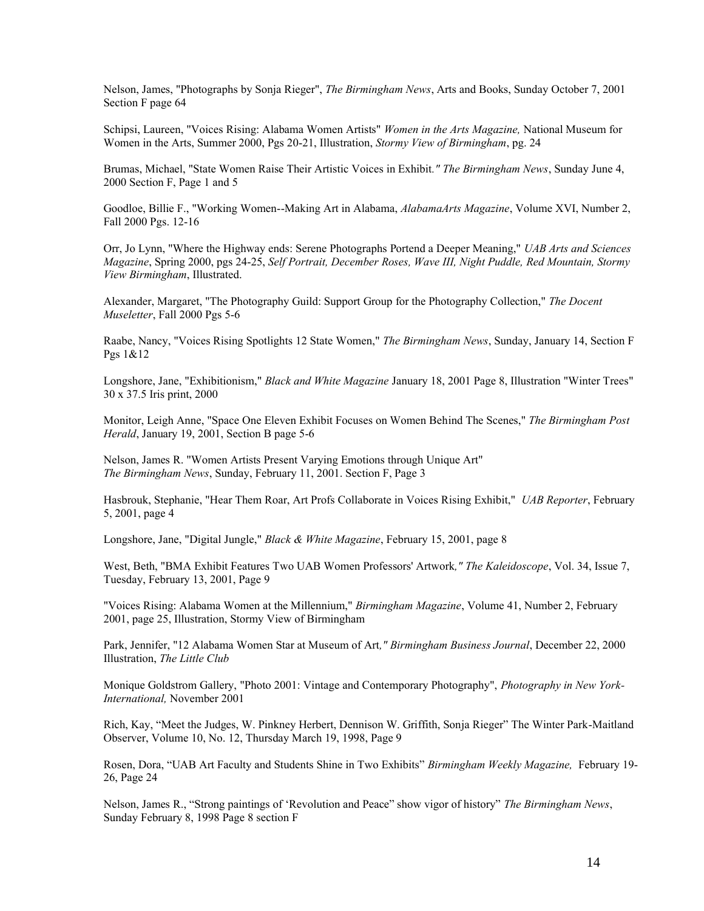Nelson, James, "Photographs by Sonja Rieger", *The Birmingham News*, Arts and Books, Sunday October 7, 2001 Section F page 64

Schipsi, Laureen, "Voices Rising: Alabama Women Artists" *Women in the Arts Magazine,* National Museum for Women in the Arts, Summer 2000, Pgs 20-21, Illustration, *Stormy View of Birmingham*, pg. 24

Brumas, Michael, "State Women Raise Their Artistic Voices in Exhibit*." The Birmingham News*, Sunday June 4, 2000 Section F, Page 1 and 5

Goodloe, Billie F., "Working Women--Making Art in Alabama, *AlabamaArts Magazine*, Volume XVI, Number 2, Fall 2000 Pgs. 12-16

Orr, Jo Lynn, "Where the Highway ends: Serene Photographs Portend a Deeper Meaning," *UAB Arts and Sciences Magazine*, Spring 2000, pgs 24-25, *Self Portrait, December Roses, Wave III, Night Puddle, Red Mountain, Stormy View Birmingham*, Illustrated.

Alexander, Margaret, "The Photography Guild: Support Group for the Photography Collection," *The Docent Museletter*, Fall 2000 Pgs 5-6

Raabe, Nancy, "Voices Rising Spotlights 12 State Women," *The Birmingham News*, Sunday, January 14, Section F Pgs 1&12

Longshore, Jane, "Exhibitionism," *Black and White Magazine* January 18, 2001 Page 8, Illustration "Winter Trees" 30 x 37.5 Iris print, 2000

Monitor, Leigh Anne, "Space One Eleven Exhibit Focuses on Women Behind The Scenes," *The Birmingham Post Herald*, January 19, 2001, Section B page 5-6

Nelson, James R. "Women Artists Present Varying Emotions through Unique Art" *The Birmingham News*, Sunday, February 11, 2001. Section F, Page 3

Hasbrouk, Stephanie, "Hear Them Roar, Art Profs Collaborate in Voices Rising Exhibit," *UAB Reporter*, February 5, 2001, page 4

Longshore, Jane, "Digital Jungle," *Black & White Magazine*, February 15, 2001, page 8

West, Beth, "BMA Exhibit Features Two UAB Women Professors' Artwork*," The Kaleidoscope*, Vol. 34, Issue 7, Tuesday, February 13, 2001, Page 9

"Voices Rising: Alabama Women at the Millennium," *Birmingham Magazine*, Volume 41, Number 2, February 2001, page 25, Illustration, Stormy View of Birmingham

Park, Jennifer, "12 Alabama Women Star at Museum of Art*," Birmingham Business Journal*, December 22, 2000 Illustration, *The Little Club*

Monique Goldstrom Gallery, "Photo 2001: Vintage and Contemporary Photography", *Photography in New York-International,* November 2001

Rich, Kay, "Meet the Judges, W. Pinkney Herbert, Dennison W. Griffith, Sonja Rieger" The Winter Park-Maitland Observer, Volume 10, No. 12, Thursday March 19, 1998, Page 9

Rosen, Dora, "UAB Art Faculty and Students Shine in Two Exhibits" *Birmingham Weekly Magazine,* February 19- 26, Page 24

Nelson, James R., "Strong paintings of 'Revolution and Peace" show vigor of history" *The Birmingham News*, Sunday February 8, 1998 Page 8 section F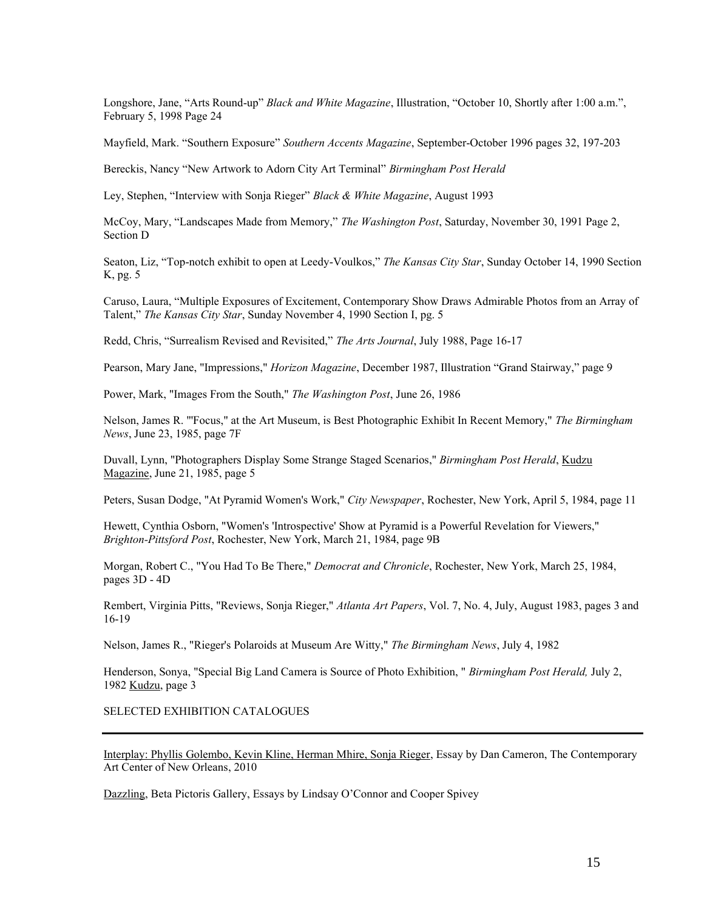Longshore, Jane, "Arts Round-up" *Black and White Magazine*, Illustration, "October 10, Shortly after 1:00 a.m.", February 5, 1998 Page 24

Mayfield, Mark. "Southern Exposure" *Southern Accents Magazine*, September-October 1996 pages 32, 197-203

Bereckis, Nancy "New Artwork to Adorn City Art Terminal" *Birmingham Post Herald*

Ley, Stephen, "Interview with Sonja Rieger" *Black & White Magazine*, August 1993

McCoy, Mary, "Landscapes Made from Memory," *The Washington Post*, Saturday, November 30, 1991 Page 2, Section D

Seaton, Liz, "Top-notch exhibit to open at Leedy-Voulkos," *The Kansas City Star*, Sunday October 14, 1990 Section K, pg. 5

Caruso, Laura, "Multiple Exposures of Excitement, Contemporary Show Draws Admirable Photos from an Array of Talent," *The Kansas City Star*, Sunday November 4, 1990 Section I, pg. 5

Redd, Chris, "Surrealism Revised and Revisited," *The Arts Journal*, July 1988, Page 16-17

Pearson, Mary Jane, "Impressions," *Horizon Magazine*, December 1987, Illustration "Grand Stairway," page 9

Power, Mark, "Images From the South," *The Washington Post*, June 26, 1986

Nelson, James R. "'Focus," at the Art Museum, is Best Photographic Exhibit In Recent Memory," *The Birmingham News*, June 23, 1985, page 7F

Duvall, Lynn, "Photographers Display Some Strange Staged Scenarios," *Birmingham Post Herald*, Kudzu Magazine, June 21, 1985, page 5

Peters, Susan Dodge, "At Pyramid Women's Work," *City Newspaper*, Rochester, New York, April 5, 1984, page 11

Hewett, Cynthia Osborn, "Women's 'Introspective' Show at Pyramid is a Powerful Revelation for Viewers," *Brighton-Pittsford Post*, Rochester, New York, March 21, 1984, page 9B

Morgan, Robert C., "You Had To Be There," *Democrat and Chronicle*, Rochester, New York, March 25, 1984, pages 3D - 4D

Rembert, Virginia Pitts, "Reviews, Sonja Rieger," *Atlanta Art Papers*, Vol. 7, No. 4, July, August 1983, pages 3 and 16-19

Nelson, James R., "Rieger's Polaroids at Museum Are Witty," *The Birmingham News*, July 4, 1982

Henderson, Sonya, "Special Big Land Camera is Source of Photo Exhibition, " *Birmingham Post Herald,* July 2, 1982 Kudzu, page 3

SELECTED EXHIBITION CATALOGUES

Interplay: Phyllis Golembo, Kevin Kline, Herman Mhire, Sonja Rieger, Essay by Dan Cameron, The Contemporary Art Center of New Orleans, 2010

Dazzling, Beta Pictoris Gallery, Essays by Lindsay O'Connor and Cooper Spivey